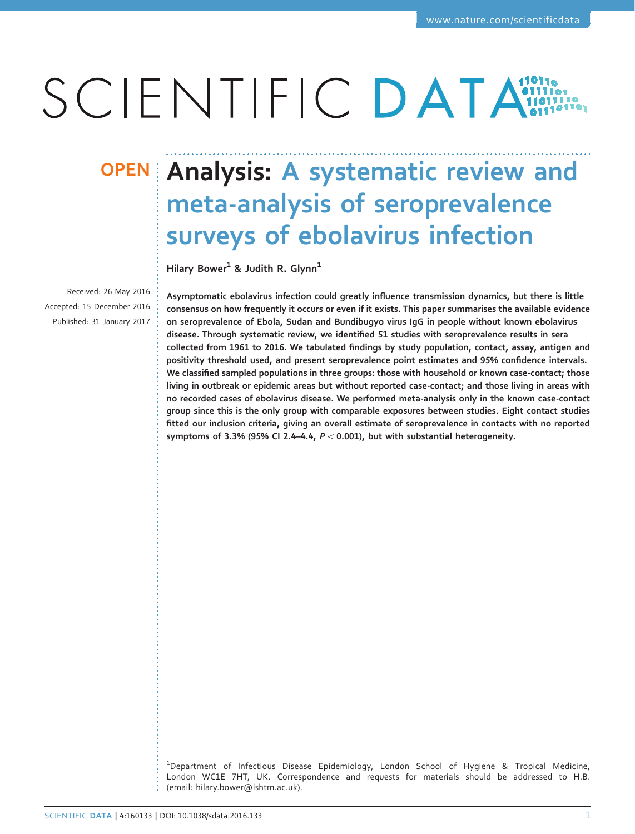# SCIENTIFIC DATA

Received: 26 May 2016 Accepted: 15 December 2016 Published: 31 January 2017

## OPEN Analysis: A systematic review and meta-analysis of seroprevalence surveys of ebolavirus infection

Hilary Bower<sup>1</sup> & Judith R. Glynn<sup>1</sup>

Asymptomatic ebolavirus infection could greatly influence transmission dynamics, but there is little consensus on how frequently it occurs or even if it exists. This paper summarises the available evidence on seroprevalence of Ebola, Sudan and Bundibugyo virus IgG in people without known ebolavirus disease. Through systematic review, we identified 51 studies with seroprevalence results in sera collected from 1961 to 2016. We tabulated findings by study population, contact, assay, antigen and positivity threshold used, and present seroprevalence point estimates and 95% confidence intervals. We classified sampled populations in three groups: those with household or known case-contact; those living in outbreak or epidemic areas but without reported case-contact; and those living in areas with no recorded cases of ebolavirus disease. We performed meta-analysis only in the known case-contact group since this is the only group with comparable exposures between studies. Eight contact studies fitted our inclusion criteria, giving an overall estimate of seroprevalence in contacts with no reported symptoms of 3.3% (95% CI 2.4–4.4,  $P < 0.001$ ), but with substantial heterogeneity.

 $^{\rm 1}$ Department of Infectious Disease Epidemiology, London School of Hygiene & Tropical Medicine, London WC1E 7HT, UK. Correspondence and requests for materials should be addressed to H.B. (email: [hilary.bower@lshtm.ac.uk\)](mailto:hilary.bower@lshtm.ac.uk).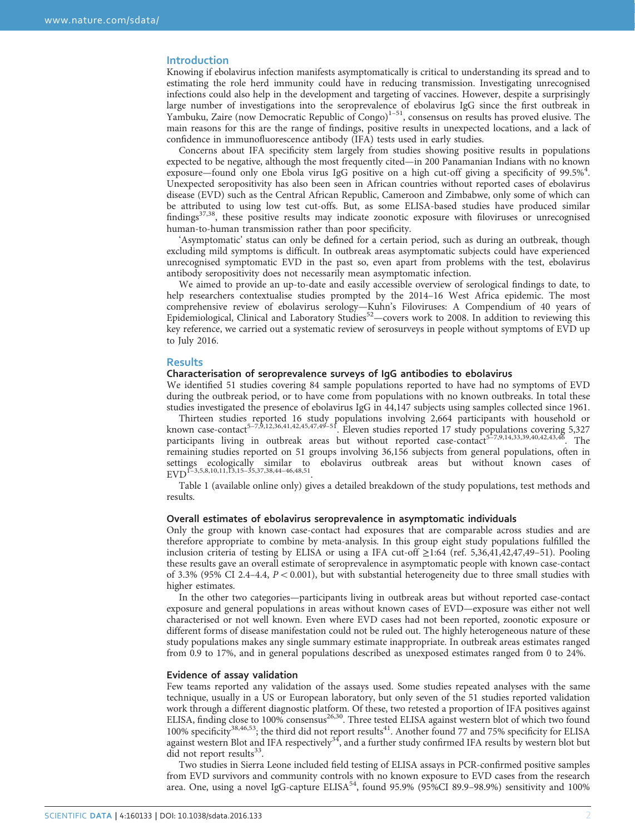### Introduction

Knowing if ebolavirus infection manifests asymptomatically is critical to understanding its spread and to estimating the role herd immunity could have in reducing transmission. Investigating unrecognised infections could also help in the development and targeting of vaccines. However, despite a surprisingly large number of investigations into the seroprevalence of ebolavirus IgG since the first outbreak in Yambuku, Zaire (now Democratic Republic of Congo)<sup>1–[51](#page-5-0)</sup>, consensus on results has proved elusive. The main reasons for this are the range of findings, positive results in unexpected locations, and a lack of confidence in immunofluorescence antibody (IFA) tests used in early studies.

Concerns about IFA specificity stem largely from studies showing positive results in populations expected to be negative, although the most frequently cited—in 200 Panamanian Indians with no known exposure—found only one Ebola virus IgG positive on a high cut-off giving a specificity of 99.5%<sup>[4](#page-5-0)</sup>. Unexpected seropositivity has also been seen in African countries without reported cases of ebolavirus disease (EVD) such as the Central African Republic, Cameroon and Zimbabwe, only some of which can be attributed to using low test cut-offs. But, as some ELISA-based studies have produced similar findings[37,38,](#page-6-0) these positive results may indicate zoonotic exposure with filoviruses or unrecognised human-to-human transmission rather than poor specificity.

'Asymptomatic' status can only be defined for a certain period, such as during an outbreak, though excluding mild symptoms is difficult. In outbreak areas asymptomatic subjects could have experienced unrecognised symptomatic EVD in the past so, even apart from problems with the test, ebolavirus antibody seropositivity does not necessarily mean asymptomatic infection.

We aimed to provide an up-to-date and easily accessible overview of serological findings to date, to help researchers contextualise studies prompted by the 2014–16 West Africa epidemic. The most comprehensive review of ebolavirus serology—Kuhn's Filoviruses: A Compendium of 40 years of Epidemiological, Clinical and Laboratory Studies<sup>[52](#page-7-0)</sup>—covers work to 2008. In addition to reviewing this key reference, we carried out a systematic review of serosurveys in people without symptoms of EVD up to July 2016.

#### **Results**

#### Characterisation of seroprevalence surveys of IgG antibodies to ebolavirus

We identified 51 studies covering 84 sample populations reported to have had no symptoms of EVD during the outbreak period, or to have come from populations with no known outbreaks. In total these studies investigated the presence of ebolavirus IgG in 44,147 subjects using samples collected since 1961.

Thirteen studies [re](#page-5-0)ported 16 st[udy p](#page-7-0)opulations involving 2,664 participants with household or known case-contact<sup>5–7,[9](#page-6-0),[12,36,41](#page-6-0),[42,](#page-6-0)[45,47](#page-7-0),49–51</sup>. Eleven studies reported 17 study p[opu](#page-5-0)lations covering 5,327 participants living in outbreak areas but without reported case-contact<sup>5-7[,9](#page-6-0),[14,33](#page-6-0),[39,40,42](#page-6-0),[43,](#page-6-0)46</sup>. The remaining studies reported on 51 groups involving 36,156 subjects from general populations, often in setti[ngs](#page-5-0) ecologi[cally](#page-6-0) si[milar](#page-7-0) to ebolavirus outbreak areas but without known cases of EVD<sup>1-3[,5](#page-5-0),[8](#page-6-0),[10,11](#page-6-0),[13](#page-6-0),15-35,[37,38,](#page-6-0)44-46[,48](#page-7-0),[51](#page-7-0)</sup>.

Table 1 (available online only) gives a detailed breakdown of the study populations, test methods and results.

#### Overall estimates of ebolavirus seroprevalence in asymptomatic individuals

Only the group with known case-contact had exposures that are comparable across studies and are therefore appropriate to combine by meta-analysis. In this group eight study populations fulfilled the inclusion criteria of testing by ELISA or using a IFA cut-off  $\geq$ 1:64 [\(ref. 5,](#page-5-0)[36,41,42](#page-6-0)[,47,49](#page-7-0)–51). Pooling these results gave an overall estimate of seroprevalence in asymptomatic people with known case-contact of 3.3% (95% CI 2.4–4.4,  $P < 0.001$ ), but with substantial heterogeneity due to three small studies with higher estimates.

In the other two categories—participants living in outbreak areas but without reported case-contact exposure and general populations in areas without known cases of EVD—exposure was either not well characterised or not well known. Even where EVD cases had not been reported, zoonotic exposure or different forms of disease manifestation could not be ruled out. The highly heterogeneous nature of these study populations makes any single summary estimate inappropriate. In outbreak areas estimates ranged from 0.9 to 17%, and in general populations described as unexposed estimates ranged from 0 to 24%.

#### Evidence of assay validation

Few teams reported any validation of the assays used. Some studies repeated analyses with the same technique, usually in a US or European laboratory, but only seven of the 51 studies reported validation work through a different diagnostic platform. Of these, two retested a proportion of IFA positives against ELISA, finding close to 100% consensus<sup>[26](#page-6-0),30</sup>. Three tested ELISA against western blot of which two found 100% specificity<sup>[38](#page-6-0),[46,53](#page-7-0)</sup>; the third did not report results<sup>[41](#page-6-0)</sup>. Another found 77 and 75% specificity for ELISA against western Blot and IFA respectively $34$ , and a further study confirmed IFA results by western blot but did not report results $^{33}$  $^{33}$  $^{33}$ .

Two studies in Sierra Leone included field testing of ELISA assays in PCR-confirmed positive samples from EVD survivors and community controls with no known exposure to EVD cases from the research area. One, using a novel IgG-capture ELISA<sup>[54](#page-7-0)</sup>, found 95.9% (95%CI 89.9-98.9%) sensitivity and 100%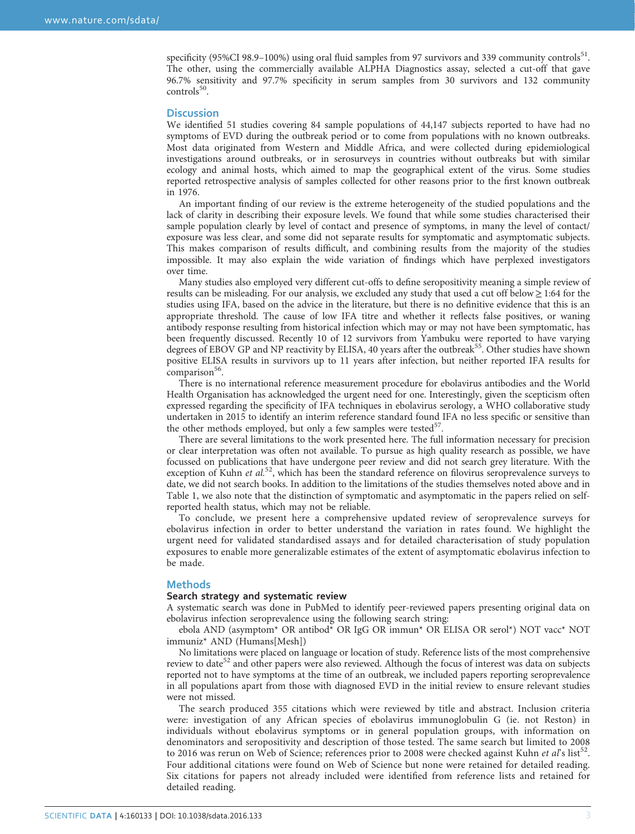specificity (95%CI 98.9–100%) using oral fluid samples from 97 survivors and 339 community controls<sup>[51](#page-7-0)</sup>. The other, using the commercially available ALPHA Diagnostics assay, selected a cut-off that gave 96.7% sensitivity and 97.7% specificity in serum samples from 30 survivors and 132 community  $controls<sup>50</sup>$ .

#### **Discussion**

We identified 51 studies covering 84 sample populations of 44,147 subjects reported to have had no symptoms of EVD during the outbreak period or to come from populations with no known outbreaks. Most data originated from Western and Middle Africa, and were collected during epidemiological investigations around outbreaks, or in serosurveys in countries without outbreaks but with similar ecology and animal hosts, which aimed to map the geographical extent of the virus. Some studies reported retrospective analysis of samples collected for other reasons prior to the first known outbreak in 1976.

An important finding of our review is the extreme heterogeneity of the studied populations and the lack of clarity in describing their exposure levels. We found that while some studies characterised their sample population clearly by level of contact and presence of symptoms, in many the level of contact/ exposure was less clear, and some did not separate results for symptomatic and asymptomatic subjects. This makes comparison of results difficult, and combining results from the majority of the studies impossible. It may also explain the wide variation of findings which have perplexed investigators over time.

Many studies also employed very different cut-offs to define seropositivity meaning a simple review of results can be misleading. For our analysis, we excluded any study that used a cut off below  $\geq 1:64$  for the studies using IFA, based on the advice in the literature, but there is no definitive evidence that this is an appropriate threshold. The cause of low IFA titre and whether it reflects false positives, or waning antibody response resulting from historical infection which may or may not have been symptomatic, has been frequently discussed. Recently 10 of 12 survivors from Yambuku were reported to have varying degrees of EBOV GP and NP reactivity by ELISA, 40 years after the outbreak<sup>55</sup>. Other studies have shown positive ELISA results in survivors up to 11 years after infection, but neither reported IFA results for  $comparison<sup>56</sup>$ .

There is no international reference measurement procedure for ebolavirus antibodies and the World Health Organisation has acknowledged the urgent need for one. Interestingly, given the scepticism often expressed regarding the specificity of IFA techniques in ebolavirus serology, a WHO collaborative study undertaken in 2015 to identify an interim reference standard found IFA no less specific or sensitive than the other methods employed, but only a few samples were tested<sup>57</sup>.

There are several limitations to the work presented here. The full information necessary for precision or clear interpretation was often not available. To pursue as high quality research as possible, we have focussed on publications that have undergone peer review and did not search grey literature. With the exception of Kuhn et al.<sup>[52](#page-7-0)</sup>, which has been the standard reference on filovirus seroprevalence surveys to date, we did not search books. In addition to the limitations of the studies themselves noted above and in Table 1, we also note that the distinction of symptomatic and asymptomatic in the papers relied on selfreported health status, which may not be reliable.

To conclude, we present here a comprehensive updated review of seroprevalence surveys for ebolavirus infection in order to better understand the variation in rates found. We highlight the urgent need for validated standardised assays and for detailed characterisation of study population exposures to enable more generalizable estimates of the extent of asymptomatic ebolavirus infection to be made.

#### **Methods**

#### Search strategy and systematic review

A systematic search was done in PubMed to identify peer-reviewed papers presenting original data on ebolavirus infection seroprevalence using the following search string:

ebola AND (asymptom\* OR antibod\* OR IgG OR immun\* OR ELISA OR serol\*) NOT vacc\* NOT immuniz\* AND (Humans[Mesh])

No limitations were placed on language or location of study. Reference lists of the most comprehensive review to date<sup>[52](#page-7-0)</sup> and other papers were also reviewed. Although the focus of interest was data on subjects reported not to have symptoms at the time of an outbreak, we included papers reporting seroprevalence in all populations apart from those with diagnosed EVD in the initial review to ensure relevant studies were not missed.

The search produced 355 citations which were reviewed by title and abstract. Inclusion criteria were: investigation of any African species of ebolavirus immunoglobulin G (ie. not Reston) in individuals without ebolavirus symptoms or in general population groups, with information on denominators and seropositivity and description of those tested. The same search but limited to 2008 to 2016 was rerun on Web of Science; references prior to 2008 were checked against Kuhn et al's list<sup>[52](#page-7-0)</sup>. Four additional citations were found on Web of Science but none were retained for detailed reading. Six citations for papers not already included were identified from reference lists and retained for detailed reading.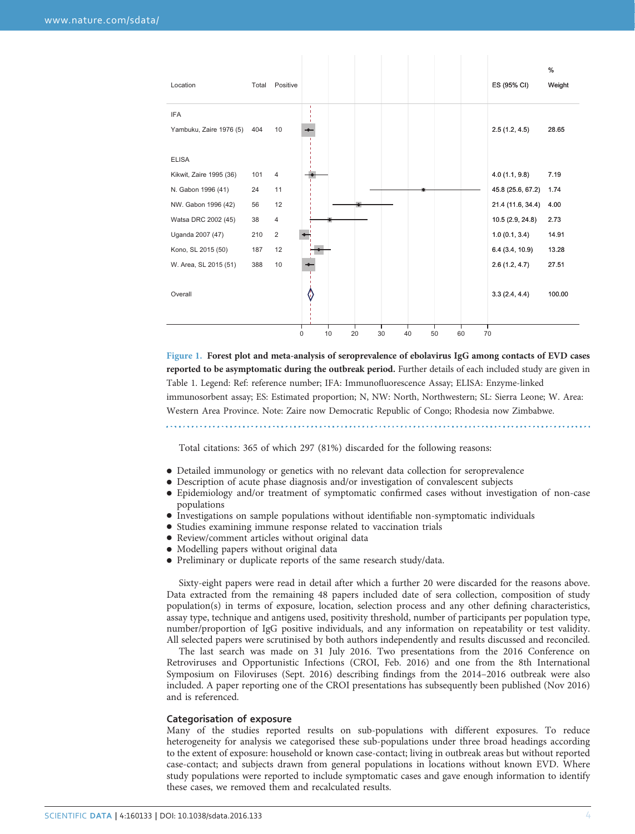<span id="page-3-0"></span>

| Location                | Total | Positive       |             |    |    |    |    |    |    | ES (95% CI)       | %<br>Weight |
|-------------------------|-------|----------------|-------------|----|----|----|----|----|----|-------------------|-------------|
| <b>IFA</b>              |       |                | ٠           |    |    |    |    |    |    |                   |             |
| Yambuku, Zaire 1976 (5) | 404   | 10             |             |    |    |    |    |    |    | 2.5(1.2, 4.5)     | 28.65       |
| <b>ELISA</b>            |       |                |             |    |    |    |    |    |    |                   |             |
| Kikwit, Zaire 1995 (36) | 101   | $\overline{4}$ |             |    |    |    |    |    |    | 4.0(1.1, 9.8)     | 7.19        |
| N. Gabon 1996 (41)      | 24    | 11             |             |    |    |    |    |    |    | 45.8 (25.6, 67.2) | 1.74        |
| NW. Gabon 1996 (42)     | 56    | 12             |             |    |    |    |    |    |    | 21.4 (11.6, 34.4) | 4.00        |
| Watsa DRC 2002 (45)     | 38    | 4              |             |    |    |    |    |    |    | 10.5 (2.9, 24.8)  | 2.73        |
| Uganda 2007 (47)        | 210   | $\overline{2}$ |             |    |    |    |    |    |    | 1.0(0.1, 3.4)     | 14.91       |
| Kono, SL 2015 (50)      | 187   | 12             |             |    |    |    |    |    |    | 6.4 (3.4, 10.9)   | 13.28       |
| W. Area, SL 2015 (51)   | 388   | 10             |             |    |    |    |    |    |    | 2.6(1.2, 4.7)     | 27.51       |
|                         |       |                |             |    |    |    |    |    |    |                   |             |
| Overall                 |       |                |             |    |    |    |    |    |    | 3.3(2.4, 4.4)     | 100.00      |
|                         |       |                |             |    |    |    |    |    |    |                   |             |
|                         |       |                | $\mathbf 0$ | 10 | 20 | 30 | 40 | 50 | 60 | 70                |             |

Figure 1. Forest plot and meta-analysis of seroprevalence of ebolavirus IgG among contacts of EVD cases reported to be asymptomatic during the outbreak period. Further details of each included study are given in Table 1. Legend: Ref: reference number; IFA: Immunofluorescence Assay; ELISA: Enzyme-linked immunosorbent assay; ES: Estimated proportion; N, NW: North, Northwestern; SL: Sierra Leone; W. Area: Western Area Province. Note: Zaire now Democratic Republic of Congo; Rhodesia now Zimbabwe.

Total citations: 365 of which 297 (81%) discarded for the following reasons:

- Detailed immunology or genetics with no relevant data collection for seroprevalence
- Description of acute phase diagnosis and/or investigation of convalescent subjects
- Epidemiology and/or treatment of symptomatic confirmed cases without investigation of non-case populations
- Investigations on sample populations without identifiable non-symptomatic individuals
- Studies examining immune response related to vaccination trials
- Review/comment articles without original data
- Modelling papers without original data
- Preliminary or duplicate reports of the same research study/data.

Sixty-eight papers were read in detail after which a further 20 were discarded for the reasons above. Data extracted from the remaining 48 papers included date of sera collection, composition of study population(s) in terms of exposure, location, selection process and any other defining characteristics, assay type, technique and antigens used, positivity threshold, number of participants per population type, number/proportion of IgG positive individuals, and any information on repeatability or test validity. All selected papers were scrutinised by both authors independently and results discussed and reconciled.

The last search was made on 31 July 2016. Two presentations from the 2016 Conference on Retroviruses and Opportunistic Infections (CROI, Feb. 2016) and one from the 8th International Symposium on Filoviruses (Sept. 2016) describing findings from the 2014–2016 outbreak were also included. A paper reporting one of the CROI presentations has subsequently been published (Nov 2016) and is referenced.

#### Categorisation of exposure

Many of the studies reported results on sub-populations with different exposures. To reduce heterogeneity for analysis we categorised these sub-populations under three broad headings according to the extent of exposure: household or known case-contact; living in outbreak areas but without reported case-contact; and subjects drawn from general populations in locations without known EVD. Where study populations were reported to include symptomatic cases and gave enough information to identify these cases, we removed them and recalculated results.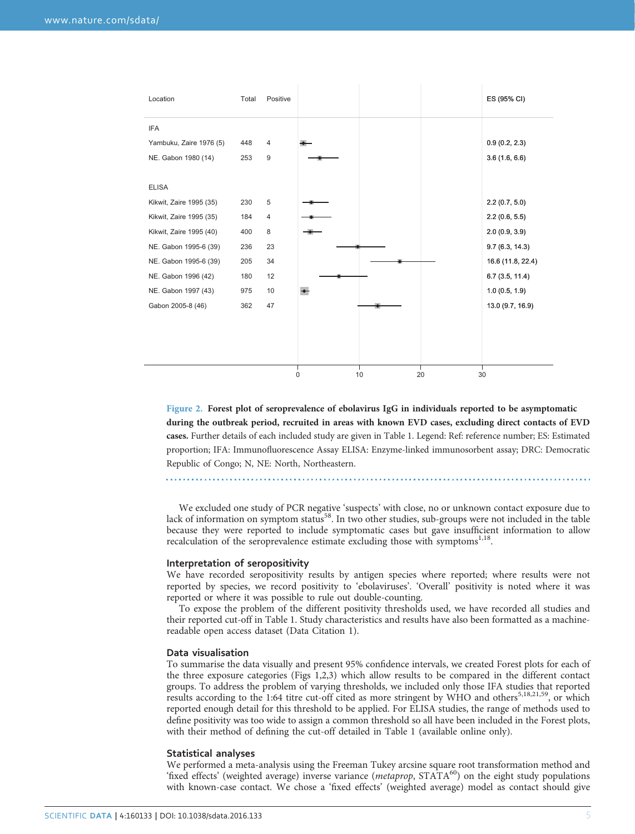<span id="page-4-0"></span>

Figure 2. Forest plot of seroprevalence of ebolavirus IgG in individuals reported to be asymptomatic during the outbreak period, recruited in areas with known EVD cases, excluding direct contacts of EVD cases. Further details of each included study are given in Table 1. Legend: Ref: reference number; ES: Estimated proportion; IFA: Immunofluorescence Assay ELISA: Enzyme-linked immunosorbent assay; DRC: Democratic Republic of Congo; N, NE: North, Northeastern.

We excluded one study of PCR negative 'suspects' with close, no or unknown contact exposure due to lack of information on symptom status<sup>58</sup>. In two other studies, sub-groups were not included in the table because they were reported to include symptomatic cases but gave insufficient information to allow recalculation of the seroprevalence estimate excluding those with symptoms<sup>[1](#page-5-0)[,18](#page-6-0)</sup>.

#### Interpretation of seropositivity

We have recorded seropositivity results by antigen species where reported; where results were not reported by species, we record positivity to 'ebolaviruses'. 'Overall' positivity is noted where it was reported or where it was possible to rule out double-counting.

To expose the problem of the different positivity thresholds used, we have recorded all studies and their reported cut-off in Table 1. Study characteristics and results have also been formatted as a machinereadable open access dataset (Data Citation 1).

#### Data visualisation

To summarise the data visually and present 95% confidence intervals, we created Forest plots for each of the three exposure categories [\(Figs 1,](#page-3-0)2[,3\)](#page-5-0) which allow results to be compared in the different contact groups. To address the problem of varying thresholds, we included only those IFA studies that reported results according to the 1:64 titre cut-off cited as more stringent by WHO and others<sup>[5](#page-5-0),[18,21](#page-6-0)[,59](#page-7-0)</sup>, or which reported enough detail for this threshold to be applied. For ELISA studies, the range of methods used to define positivity was too wide to assign a common threshold so all have been included in the Forest plots, with their method of defining the cut-off detailed in Table 1 (available online only).

#### Statistical analyses

We performed a meta-analysis using the Freeman Tukey arcsine square root transformation method and 'fixed effects' (weighted average) inverse variance (metaprop, STATA<sup>60</sup>) on the eight study populations with known-case contact. We chose a 'fixed effects' (weighted average) model as contact should give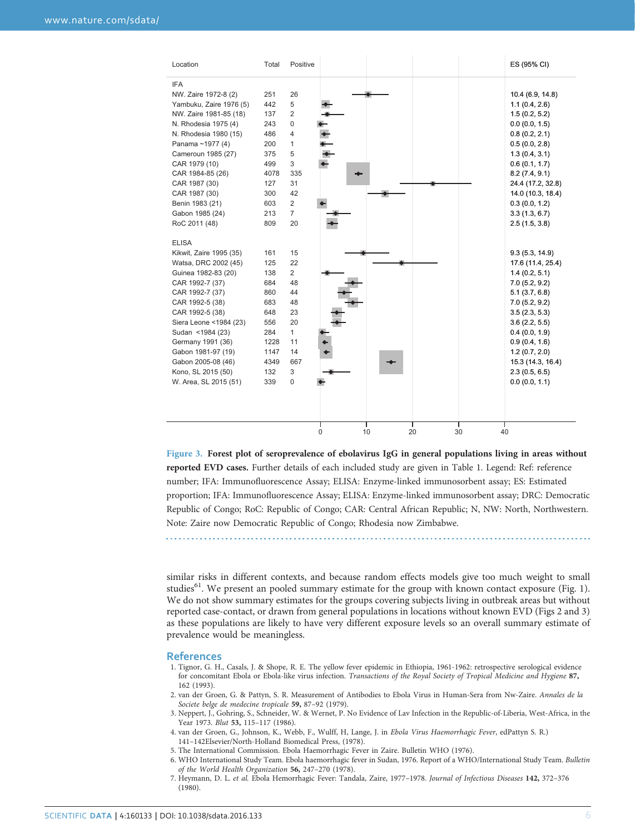<span id="page-5-0"></span>

| Location                | Total | Positive                  | ES (95% CI)       |
|-------------------------|-------|---------------------------|-------------------|
| <b>IFA</b>              |       |                           |                   |
| NW. Zaire 1972-8 (2)    | 251   | 26                        | 10.4 (6.9, 14.8)  |
| Yambuku, Zaire 1976 (5) | 442   | 5                         | 1.1(0.4, 2.6)     |
| NW. Zaire 1981-85 (18)  | 137   | 2                         | 1.5(0.2, 5.2)     |
| N. Rhodesia 1975 (4)    | 243   | 0                         | 0.0(0.0, 1.5)     |
| N. Rhodesia 1980 (15)   | 486   | 4                         | 0.8(0.2, 2.1)     |
| Panama ~1977 (4)        | 200   | $\mathbf{1}$              | 0.5(0.0, 2.8)     |
| Cameroun 1985 (27)      | 375   | 5                         | 1.3(0.4, 3.1)     |
| CAR 1979 (10)           | 499   | 3                         | 0.6(0.1, 1.7)     |
| CAR 1984-85 (26)        | 4078  | 335                       | 8.2(7.4, 9.1)     |
| CAR 1987 (30)           | 127   | 31                        | 24.4 (17.2, 32.8) |
| CAR 1987 (30)           | 300   | 42                        | 14.0 (10.3, 18.4) |
| Benin 1983 (21)         | 603   | $\overline{2}$            | 0.3(0.0, 1.2)     |
| Gabon 1985 (24)         | 213   | $\overline{7}$            | 3.3(1.3, 6.7)     |
| RoC 2011 (48)           | 809   | 20                        | 2.5(1.5, 3.8)     |
| <b>ELISA</b>            |       |                           |                   |
| Kikwit, Zaire 1995 (35) | 161   | 15                        | 9.3(5.3, 14.9)    |
| Watsa, DRC 2002 (45)    | 125   | 22                        | 17.6 (11.4, 25.4) |
| Guinea 1982-83 (20)     | 138   | $\overline{2}$            | 1.4(0.2, 5.1)     |
| CAR 1992-7 (37)         | 684   | 48                        | 7.0(5.2, 9.2)     |
| CAR 1992-7 (37)         | 860   | 44                        | 5.1(3.7, 6.8)     |
| CAR 1992-5 (38)         | 683   | 48                        | 7.0(5.2, 9.2)     |
| CAR 1992-5 (38)         | 648   | 23                        | 3.5(2.3, 5.3)     |
| Siera Leone <1984 (23)  | 556   | 20                        | 3.6(2.2, 5.5)     |
| Sudan <1984 (23)        | 284   | $\mathbf{1}$              | 0.4(0.0, 1.9)     |
| Germany 1991 (36)       | 1228  | 11                        | 0.9(0.4, 1.6)     |
| Gabon 1981-97 (19)      | 1147  | 14                        | 1.2(0.7, 2.0)     |
| Gabon 2005-08 (46)      | 4349  | 667                       | 15.3 (14.3, 16.4) |
| Kono, SL 2015 (50)      | 132   | 3                         | 2.3(0.5, 6.5)     |
| W. Area, SL 2015 (51)   | 339   | 0                         | 0.0(0.0, 1.1)     |
|                         |       |                           |                   |
|                         |       |                           |                   |
|                         |       | 10<br>0<br>20<br>30<br>40 |                   |

Figure 3. Forest plot of seroprevalence of ebolavirus IgG in general populations living in areas without reported EVD cases. Further details of each included study are given in Table 1. Legend: Ref: reference number; IFA: Immunofluorescence Assay; ELISA: Enzyme-linked immunosorbent assay; ES: Estimated proportion; IFA: Immunofluorescence Assay; ELISA: Enzyme-linked immunosorbent assay; DRC: Democratic Republic of Congo; RoC: Republic of Congo; CAR: Central African Republic; N, NW: North, Northwestern. Note: Zaire now Democratic Republic of Congo; Rhodesia now Zimbabwe.

similar risks in different contexts, and because random effects models give too much weight to small studies<sup>[61](#page-7-0)</sup>. We present an pooled summary estimate for the group with known contact exposure ([Fig. 1](#page-3-0)). We do not show summary estimates for the groups covering subjects living in outbreak areas but without reported case-contact, or drawn from general populations in locations without known EVD [\(Figs 2](#page-4-0) and 3) as these populations are likely to have very different exposure levels so an overall summary estimate of prevalence would be meaningless.

#### References

- 1. Tignor, G. H., Casals, J. & Shope, R. E. The yellow fever epidemic in Ethiopia, 1961-1962: retrospective serological evidence for concomitant Ebola or Ebola-like virus infection. Transactions of the Royal Society of Tropical Medicine and Hygiene 87, 162 (1993).
- 2. van der Groen, G. & Pattyn, S. R. Measurement of Antibodies to Ebola Virus in Human-Sera from Nw-Zaire. Annales de la Societe belge de medecine tropicale 59, 87–92 (1979).
- 3. Neppert, J., Gohring, S., Schneider, W. & Wernet, P. No Evidence of Lav Infection in the Republic-of-Liberia, West-Africa, in the Year 1973. Blut 53, 115-117 (1986).
- 4. van der Groen, G., Johnson, K., Webb, F., Wulff, H, Lange, J. in Ebola Virus Haemorrhagic Fever, edPattyn S. R.) 141–142Elsevier/North-Holland Biomedical Press, (1978).
- 5. The International Commission. Ebola Haemorrhagic Fever in Zaire. Bulletin WHO (1976).

- 6. WHO International Study Team. Ebola haemorrhagic fever in Sudan, 1976. Report of a WHO/International Study Team. Bulletin of the World Health Organization 56, 247–270 (1978).
	- 7. Heymann, D. L. et al. Ebola Hemorrhagic Fever: Tandala, Zaire, 1977–1978. Journal of Infectious Diseases 142, 372–376 (1980).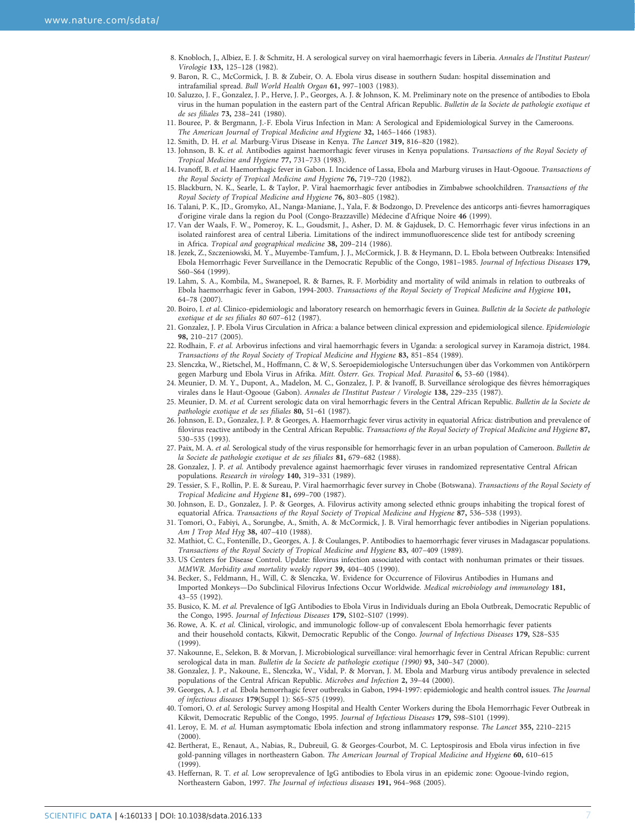- <span id="page-6-0"></span>8. Knobloch, J., Albiez, E. J. & Schmitz, H. A serological survey on viral haemorrhagic fevers in Liberia. Annales de l'Institut Pasteur/ Virologie 133, 125–128 (1982).
- 9. Baron, R. C., McCormick, J. B. & Zubeir, O. A. Ebola virus disease in southern Sudan: hospital dissemination and intrafamilial spread. Bull World Health Organ 61, 997–1003 (1983).
- 10. Saluzzo, J. F., Gonzalez, J. P., Herve, J. P., Georges, A. J. & Johnson, K. M. Preliminary note on the presence of antibodies to Ebola virus in the human population in the eastern part of the Central African Republic. Bulletin de la Societe de pathologie exotique et de ses filiales 73, 238–241 (1980).
- 11. Bouree, P. & Bergmann, J.-F. Ebola Virus Infection in Man: A Serological and Epidemiological Survey in the Cameroons. The American Journal of Tropical Medicine and Hygiene 32, 1465–1466 (1983).
- 12. Smith, D. H. et al. Marburg-Virus Disease in Kenya. The Lancet 319, 816–820 (1982).
- 13. Johnson, B. K. et al. Antibodies against haemorrhagic fever viruses in Kenya populations. Transactions of the Royal Society of Tropical Medicine and Hygiene 77, 731–733 (1983).
- 14. Ivanoff, B. et al. Haemorrhagic fever in Gabon. I. Incidence of Lassa, Ebola and Marburg viruses in Haut-Ogooue. Transactions of the Royal Society of Tropical Medicine and Hygiene 76, 719–720 (1982).
- 15. Blackburn, N. K., Searle, L. & Taylor, P. Viral haemorrhagic fever antibodies in Zimbabwe schoolchildren. Transactions of the Royal Society of Tropical Medicine and Hygiene 76, 803–805 (1982).
- 16. Talani, P. K., JD., Gromyko, AI., Nanga-Maniane, J., Yala, F. & Bodzongo, D. Prevelence des anticorps anti-fievres hamorragiques d'origine virale dans la region du Pool (Congo-Brazzaville) Médecine d'Afrique Noire 46 (1999).
- 17. Van der Waals, F. W., Pomeroy, K. L., Goudsmit, J., Asher, D. M. & Gajdusek, D. C. Hemorrhagic fever virus infections in an isolated rainforest area of central Liberia. Limitations of the indirect immunofluorescence slide test for antibody screening in Africa. Tropical and geographical medicine 38, 209-214 (1986).
- 18. Jezek, Z., Szczeniowski, M. Y., Muyembe-Tamfum, J. J., McCormick, J. B. & Heymann, D. L. Ebola between Outbreaks: Intensified Ebola Hemorrhagic Fever Surveillance in the Democratic Republic of the Congo, 1981–1985. Journal of Infectious Diseases 179, S60-S64 (1999).
- 19. Lahm, S. A., Kombila, M., Swanepoel, R. & Barnes, R. F. Morbidity and mortality of wild animals in relation to outbreaks of Ebola haemorrhagic fever in Gabon, 1994-2003. Transactions of the Royal Society of Tropical Medicine and Hygiene 101, 64–78 (2007).
- 20. Boiro, I. et al. Clinico-epidemiologic and laboratory research on hemorrhagic fevers in Guinea. Bulletin de la Societe de pathologie exotique et de ses filiales 80 607–612 (1987).
- 21. Gonzalez, J. P. Ebola Virus Circulation in Africa: a balance between clinical expression and epidemiological silence. Epidemiologie 98, 210–217 (2005).
- 22. Rodhain, F. et al. Arbovirus infections and viral haemorrhagic fevers in Uganda: a serological survey in Karamoja district, 1984. Transactions of the Royal Society of Tropical Medicine and Hygiene 83, 851–854 (1989).
- 23. Slenczka, W., Rietschel, M., Hoffmann, C. & W, S. Seroepidemiologische Untersuchungen über das Vorkommen von Antikörpern gegen Marburg und Ebola Virus in Afrika. Mitt. Österr. Ges. Tropical Med. Parasitol 6, 53–60 (1984).
- 24. Meunier, D. M. Y., Dupont, A., Madelon, M. C., Gonzalez, J. P. & Ivanoff, B. Surveillance sérologique des fièvres hémorragiques virales dans le Haut-Ogooue (Gabon). Annales de l'Institut Pasteur / Virologie 138, 229–235 (1987).
- 25. Meunier, D. M. et al. Current serologic data on viral hemorrhagic fevers in the Central African Republic. Bulletin de la Societe de pathologie exotique et de ses filiales 80, 51–61 (1987).
- 26. Johnson, E. D., Gonzalez, J. P. & Georges, A. Haemorrhagic fever virus activity in equatorial Africa: distribution and prevalence of filovirus reactive antibody in the Central African Republic. Transactions of the Royal Society of Tropical Medicine and Hygiene 87, 530–535 (1993).
- 27. Paix, M. A. et al. Serological study of the virus responsible for hemorrhagic fever in an urban population of Cameroon. Bulletin de la Societe de pathologie exotique et de ses filiales 81, 679–682 (1988).
- 28. Gonzalez, J. P. et al. Antibody prevalence against haemorrhagic fever viruses in randomized representative Central African populations. Research in virology 140, 319–331 (1989).
- 29. Tessier, S. F., Rollin, P. E. & Sureau, P. Viral haemorrhagic fever survey in Chobe (Botswana). Transactions of the Royal Society of Tropical Medicine and Hygiene 81, 699–700 (1987).
- 30. Johnson, E. D., Gonzalez, J. P. & Georges, A. Filovirus activity among selected ethnic groups inhabiting the tropical forest of equatorial Africa. Transactions of the Royal Society of Tropical Medicine and Hygiene 87, 536–538 (1993).
- 31. Tomori, O., Fabiyi, A., Sorungbe, A., Smith, A. & McCormick, J. B. Viral hemorrhagic fever antibodies in Nigerian populations. Am J Trop Med Hyg 38, 407–410 (1988).
- 32. Mathiot, C. C., Fontenille, D., Georges, A. J. & Coulanges, P. Antibodies to haemorrhagic fever viruses in Madagascar populations. Transactions of the Royal Society of Tropical Medicine and Hygiene 83, 407–409 (1989).
- 33. US Centers for Disease Control. Update: filovirus infection associated with contact with nonhuman primates or their tissues. MMWR. Morbidity and mortality weekly report 39, 404–405 (1990).
- 34. Becker, S., Feldmann, H., Will, C. & Slenczka, W. Evidence for Occurrence of Filovirus Antibodies in Humans and Imported Monkeys—Do Subclinical Filovirus Infections Occur Worldwide. Medical microbiology and immunology 181, 43–55 (1992).
- 35. Busico, K. M. et al. Prevalence of IgG Antibodies to Ebola Virus in Individuals during an Ebola Outbreak, Democratic Republic of the Congo, 1995. Journal of Infectious Diseases 179, S102–S107 (1999).
- 36. Rowe, A. K. et al. Clinical, virologic, and immunologic follow-up of convalescent Ebola hemorrhagic fever patients and their household contacts, Kikwit, Democratic Republic of the Congo. Journal of Infectious Diseases 179, S28–S35 (1999).
- 37. Nakounne, E., Selekon, B. & Morvan, J. Microbiological surveillance: viral hemorrhagic fever in Central African Republic: current serological data in man. Bulletin de la Societe de pathologie exotique (1990) 93, 340-347 (2000).
- 38. Gonzalez, J. P., Nakoune, E., Slenczka, W., Vidal, P. & Morvan, J. M. Ebola and Marburg virus antibody prevalence in selected populations of the Central African Republic. Microbes and Infection 2, 39–44 (2000).
- 39. Georges, A. J. et al. Ebola hemorrhagic fever outbreaks in Gabon, 1994-1997: epidemiologic and health control issues. The Journal of infectious diseases 179(Suppl 1): S65–S75 (1999).
- 40. Tomori, O. et al. Serologic Survey among Hospital and Health Center Workers during the Ebola Hemorrhagic Fever Outbreak in Kikwit, Democratic Republic of the Congo, 1995. Journal of Infectious Diseases 179, S98–S101 (1999).
- 41. Leroy, E. M. et al. Human asymptomatic Ebola infection and strong inflammatory response. The Lancet 355, 2210–2215 (2000).
- 42. Bertherat, E., Renaut, A., Nabias, R., Dubreuil, G. & Georges-Courbot, M. C. Leptospirosis and Ebola virus infection in five gold-panning villages in northeastern Gabon. The American Journal of Tropical Medicine and Hygiene 60, 610–615 (1999).
- 43. Heffernan, R. T. et al. Low seroprevalence of IgG antibodies to Ebola virus in an epidemic zone: Ogooue-Ivindo region, Northeastern Gabon, 1997. The Journal of infectious diseases 191, 964–968 (2005).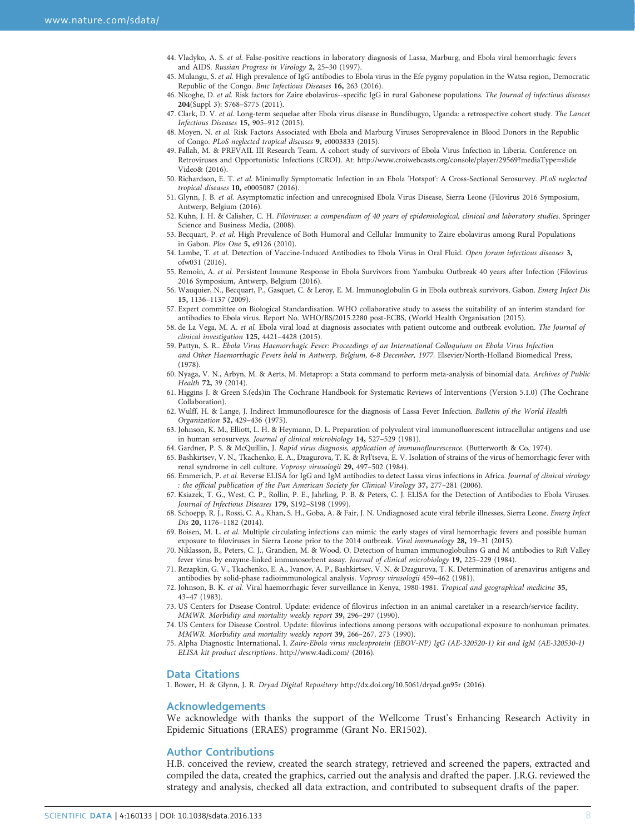- <span id="page-7-0"></span>44. Vladyko, A. S. et al. False-positive reactions in laboratory diagnosis of Lassa, Marburg, and Ebola viral hemorrhagic fevers and AIDS. Russian Progress in Virology 2, 25–30 (1997).
- 45. Mulangu, S. et al. High prevalence of IgG antibodies to Ebola virus in the Efe pygmy population in the Watsa region, Democratic Republic of the Congo. Bmc Infectious Diseases 16, 263 (2016).
- 46. Nkoghe, D. et al. Risk factors for Zaire ebolavirus--specific IgG in rural Gabonese populations. The Journal of infectious diseases 204(Suppl 3): S768–S775 (2011).
- 47. Clark, D. V. et al. Long-term sequelae after Ebola virus disease in Bundibugyo, Uganda: a retrospective cohort study. The Lancet Infectious Diseases 15, 905–912 (2015).
- 48. Moyen, N. et al. Risk Factors Associated with Ebola and Marburg Viruses Seroprevalence in Blood Donors in the Republic of Congo. PLoS neglected tropical diseases 9, e0003833 (2015).
- 49. Fallah, M. & PREVAIL III Research Team. A cohort study of survivors of Ebola Virus Infection in Liberia. Conference on Retroviruses and Opportunistic Infections (CROI). At: [http://www.croiwebcasts.org/console/player/29569?mediaType](http://www.croiwebcasts.org/console/player/29569?mediaType=slideVideo&)=slide [Video&](http://www.croiwebcasts.org/console/player/29569?mediaType=slideVideo&) (2016).
- 50. Richardson, E. T. et al. Minimally Symptomatic Infection in an Ebola 'Hotspot': A Cross-Sectional Serosurvey. PLoS neglected tropical diseases 10, e0005087 (2016).
- 51. Glynn, J. B. et al. Asymptomatic infection and unrecognised Ebola Virus Disease, Sierra Leone (Filovirus 2016 Symposium, Antwerp, Belgium (2016).
- 52. Kuhn, J. H. & Calisher, C. H. Filoviruses: a compendium of 40 years of epidemiological, clinical and laboratory studies. Springer Science and Business Media, (2008).
- 53. Becquart, P. et al. High Prevalence of Both Humoral and Cellular Immunity to Zaire ebolavirus among Rural Populations in Gabon. Plos One 5, e9126 (2010).
- 54. Lambe, T. et al. Detection of Vaccine-Induced Antibodies to Ebola Virus in Oral Fluid. Open forum infectious diseases 3, ofw031 (2016).
- 55. Remoin, A. et al. Persistent Immune Response in Ebola Survivors from Yambuku Outbreak 40 years after Infection (Filovirus 2016 Symposium, Antwerp, Belgium (2016).
- 56. Wauquier, N., Becquart, P., Gasquet, C. & Leroy, E. M. Immunoglobulin G in Ebola outbreak survivors, Gabon. Emerg Infect Dis 15, 1136–1137 (2009).
- 57. Expert committee on Biological Standardisation. WHO collaborative study to assess the suitability of an interim standard for antibodies to Ebola virus. Report No. WHO/BS/2015.2280 post-ECBS, (World Health Organisation (2015).
- 58. de La Vega, M. A. et al. Ebola viral load at diagnosis associates with patient outcome and outbreak evolution. The Journal of clinical investigation 125, 4421–4428 (2015).
- 59. Pattyn, S. R.. Ebola Virus Haemorrhagic Fever: Proceedings of an International Colloquium on Ebola Virus Infection and Other Haemorrhagic Fevers held in Antwerp, Belgium, 6-8 December, 1977. Elsevier/North-Holland Biomedical Press, (1978).
- 60. Nyaga, V. N., Arbyn, M. & Aerts, M. Metaprop: a Stata command to perform meta-analysis of binomial data. Archives of Public Health 72, 39 (2014).
- 61. Higgins J. & Green S.(eds)in The Cochrane Handbook for Systematic Reviews of Interventions (Version 5.1.0) (The Cochrane Collaboration).
- 62. Wulff, H. & Lange, J. Indirect Immunoflouresce for the diagnosis of Lassa Fever Infection. Bulletin of the World Health Organization 52, 429–436 (1975).
- 63. Johnson, K. M., Elliott, L. H. & Heymann, D. L. Preparation of polyvalent viral immunofluorescent intracellular antigens and use in human serosurveys. Journal of clinical microbiology 14, 527–529 (1981).
- 64. Gardner, P. S. & McQuillin, J. Rapid virus diagnosis, application of immunoflourescence. (Butterworth & Co, 1974).
- 65. Bashkirtsev, V. N., Tkachenko, E. A., Dzagurova, T. K. & Ryl'tseva, E. V. Isolation of strains of the virus of hemorrhagic fever with renal syndrome in cell culture. Voprosy virusologii 29, 497–502 (1984).
- 66. Emmerich, P. et al. Reverse ELISA for IgG and IgM antibodies to detect Lassa virus infections in Africa. Journal of clinical virology : the official publication of the Pan American Society for Clinical Virology 37, 277–281 (2006).
- 67. Ksiazek, T. G., West, C. P., Rollin, P. E., Jahrling, P. B. & Peters, C. J. ELISA for the Detection of Antibodies to Ebola Viruses. Journal of Infectious Diseases 179, S192–S198 (1999).
- 68. Schoepp, R. J., Rossi, C. A., Khan, S. H., Goba, A. & Fair, J. N. Undiagnosed acute viral febrile illnesses, Sierra Leone. Emerg Infect Dis 20, 1176–1182 (2014).
- 69. Boisen, M. L. et al. Multiple circulating infections can mimic the early stages of viral hemorrhagic fevers and possible human exposure to filoviruses in Sierra Leone prior to the 2014 outbreak. Viral immunology 28, 19–31 (2015).
- 70. Niklasson, B., Peters, C. J., Grandien, M. & Wood, O. Detection of human immunoglobulins G and M antibodies to Rift Valley fever virus by enzyme-linked immunosorbent assay. Journal of clinical microbiology 19, 225–229 (1984).
- 71. Rezapkin, G. V., Tkachenko, E. A., Ivanov, A. P., Bashkirtsev, V. N. & Dzagurova, T. K. Determination of arenavirus antigens and antibodies by solid-phase radioimmunological analysis. Voprosy virusologii 459–462 (1981).
- 72. Johnson, B. K. et al. Viral haemorrhagic fever surveillance in Kenya, 1980-1981. Tropical and geographical medicine 35, 43–47 (1983).
- 73. US Centers for Disease Control. Update: evidence of filovirus infection in an animal caretaker in a research/service facility. MMWR. Morbidity and mortality weekly report 39, 296–297 (1990).
- 74. US Centers for Disease Control. Update: filovirus infections among persons with occupational exposure to nonhuman primates. MMWR. Morbidity and mortality weekly report 39, 266–267, 273 (1990).
- 75. Alpha Diagnostic International, I. Zaire-Ebola virus nucleoprotein (EBOV-NP) IgG (AE-320520-1) kit and IgM (AE-320530-1) ELISA kit product descriptions.<http://www.4adi.com/> (2016).

#### Data Citations

1. Bower, H. & Glynn, J. R. Dryad Digital Repository <http://dx.doi.org/10.5061/dryad.gn95r> (2016).

#### Acknowledgements

We acknowledge with thanks the support of the Wellcome Trust's Enhancing Research Activity in Epidemic Situations (ERAES) programme (Grant No. ER1502).

#### Author Contributions

H.B. conceived the review, created the search strategy, retrieved and screened the papers, extracted and compiled the data, created the graphics, carried out the analysis and drafted the paper. J.R.G. reviewed the strategy and analysis, checked all data extraction, and contributed to subsequent drafts of the paper.